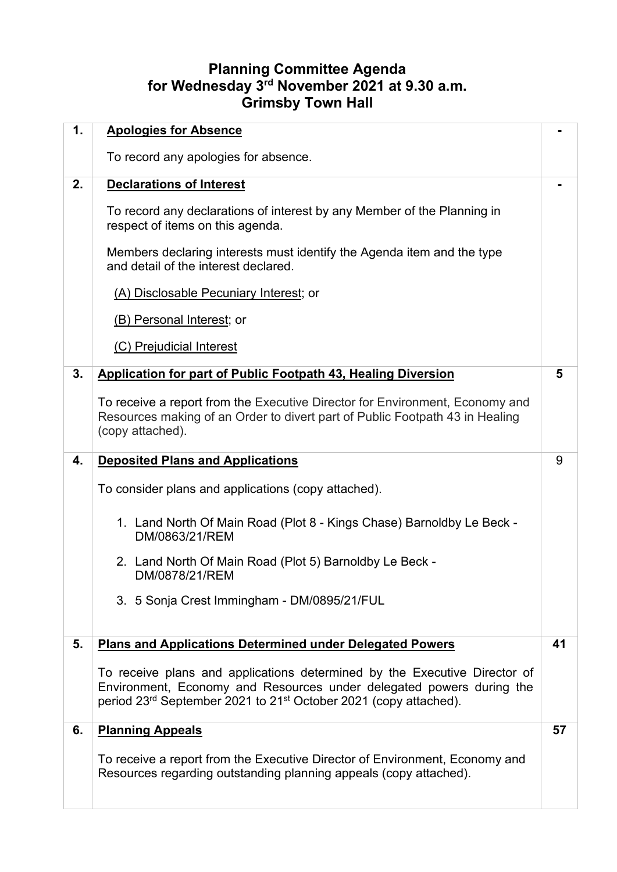## **Planning Committee Agenda for Wednesday 3rd November 2021 at 9.30 a.m. Grimsby Town Hall**

| 1. | <b>Apologies for Absence</b>                                                                                                                                                                                                                  |    |
|----|-----------------------------------------------------------------------------------------------------------------------------------------------------------------------------------------------------------------------------------------------|----|
|    | To record any apologies for absence.                                                                                                                                                                                                          |    |
| 2. | <b>Declarations of Interest</b>                                                                                                                                                                                                               |    |
|    | To record any declarations of interest by any Member of the Planning in<br>respect of items on this agenda.                                                                                                                                   |    |
|    | Members declaring interests must identify the Agenda item and the type<br>and detail of the interest declared.                                                                                                                                |    |
|    | (A) Disclosable Pecuniary Interest; or                                                                                                                                                                                                        |    |
|    | (B) Personal Interest; or                                                                                                                                                                                                                     |    |
|    | (C) Prejudicial Interest                                                                                                                                                                                                                      |    |
| 3. | <b>Application for part of Public Footpath 43, Healing Diversion</b>                                                                                                                                                                          | 5  |
|    | To receive a report from the Executive Director for Environment, Economy and<br>Resources making of an Order to divert part of Public Footpath 43 in Healing<br>(copy attached).                                                              |    |
| 4. | <b>Deposited Plans and Applications</b>                                                                                                                                                                                                       | 9  |
|    | To consider plans and applications (copy attached).                                                                                                                                                                                           |    |
|    | 1. Land North Of Main Road (Plot 8 - Kings Chase) Barnoldby Le Beck -<br>DM/0863/21/REM                                                                                                                                                       |    |
|    | 2. Land North Of Main Road (Plot 5) Barnoldby Le Beck -<br>DM/0878/21/REM                                                                                                                                                                     |    |
|    | 3. 5 Sonja Crest Immingham - DM/0895/21/FUL                                                                                                                                                                                                   |    |
| 5. | <b>Plans and Applications Determined under Delegated Powers</b>                                                                                                                                                                               | 41 |
|    | To receive plans and applications determined by the Executive Director of<br>Environment, Economy and Resources under delegated powers during the<br>period 23 <sup>rd</sup> September 2021 to 21 <sup>st</sup> October 2021 (copy attached). |    |
| 6. | <b>Planning Appeals</b>                                                                                                                                                                                                                       | 57 |
|    | To receive a report from the Executive Director of Environment, Economy and<br>Resources regarding outstanding planning appeals (copy attached).                                                                                              |    |